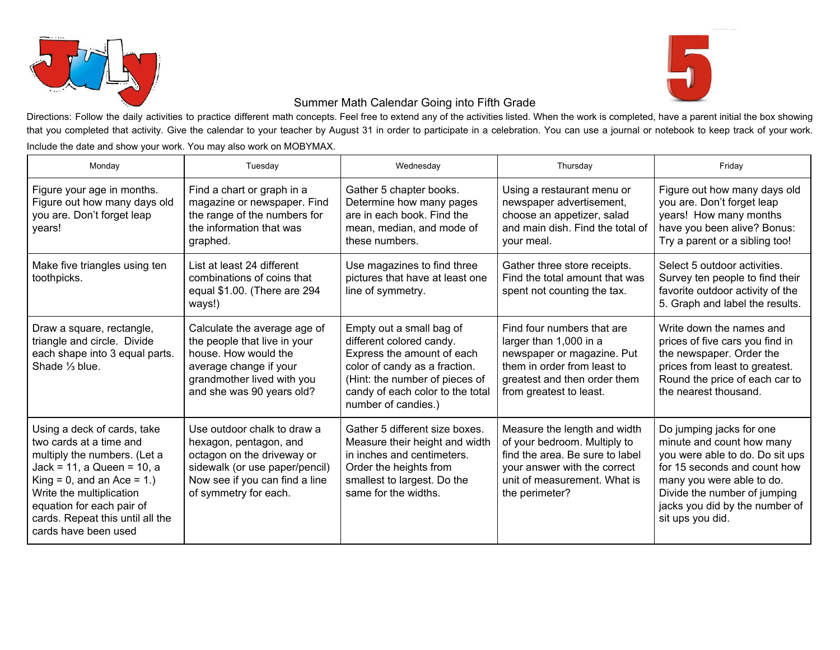



## Summer Math Calendar Going into Fifth Grade

Directions: Follow the daily activities to practice different math concepts. Feel free to extend any of the activities listed. When the work is completed, have a parent initial the box showing that you completed that activity. Give the calendar to your teacher by August 31 in order to participate in a celebration. You can use a journal or notebook to keep track of your work. Include the date and show your work. You may also work on MOBYMAX.

| Monday                                                                                                                                                                                                                                                                        | Tuesday                                                                                                                                                                          | Wednesday                                                                                                                                                                                                        | Thursday                                                                                                                                                                          | Friday                                                                                                                                                                                                                                      |
|-------------------------------------------------------------------------------------------------------------------------------------------------------------------------------------------------------------------------------------------------------------------------------|----------------------------------------------------------------------------------------------------------------------------------------------------------------------------------|------------------------------------------------------------------------------------------------------------------------------------------------------------------------------------------------------------------|-----------------------------------------------------------------------------------------------------------------------------------------------------------------------------------|---------------------------------------------------------------------------------------------------------------------------------------------------------------------------------------------------------------------------------------------|
| Figure your age in months.<br>Figure out how many days old<br>you are. Don't forget leap<br>vears!                                                                                                                                                                            | Find a chart or graph in a<br>magazine or newspaper. Find<br>the range of the numbers for<br>the information that was<br>graphed.                                                | Gather 5 chapter books.<br>Determine how many pages<br>are in each book. Find the<br>mean, median, and mode of<br>these numbers.                                                                                 | Using a restaurant menu or<br>newspaper advertisement,<br>choose an appetizer, salad<br>and main dish. Find the total of<br>your meal.                                            | Figure out how many days old<br>you are. Don't forget leap<br>years! How many months<br>have you been alive? Bonus:<br>Try a parent or a sibling too!                                                                                       |
| Make five triangles using ten<br>toothpicks.                                                                                                                                                                                                                                  | List at least 24 different<br>combinations of coins that<br>equal \$1.00. (There are 294<br>ways!)                                                                               | Use magazines to find three<br>pictures that have at least one<br>line of symmetry.                                                                                                                              | Gather three store receipts.<br>Find the total amount that was<br>spent not counting the tax.                                                                                     | Select 5 outdoor activities.<br>Survey ten people to find their<br>favorite outdoor activity of the<br>5. Graph and label the results.                                                                                                      |
| Draw a square, rectangle,<br>triangle and circle. Divide<br>each shape into 3 equal parts.<br>Shade 1/3 blue.                                                                                                                                                                 | Calculate the average age of<br>the people that live in your<br>house. How would the<br>average change if your<br>grandmother lived with you<br>and she was 90 years old?        | Empty out a small bag of<br>different colored candy.<br>Express the amount of each<br>color of candy as a fraction.<br>(Hint: the number of pieces of<br>candy of each color to the total<br>number of candies.) | Find four numbers that are<br>larger than 1,000 in a<br>newspaper or magazine. Put<br>them in order from least to<br>greatest and then order them<br>from greatest to least.      | Write down the names and<br>prices of five cars you find in<br>the newspaper. Order the<br>prices from least to greatest.<br>Round the price of each car to<br>the nearest thousand.                                                        |
| Using a deck of cards, take<br>two cards at a time and<br>multiply the numbers. (Let a<br>$Jack = 11$ , a Queen = 10, a<br>$King = 0$ , and an Ace = 1.)<br>Write the multiplication<br>equation for each pair of<br>cards. Repeat this until all the<br>cards have been used | Use outdoor chalk to draw a<br>hexagon, pentagon, and<br>octagon on the driveway or<br>sidewalk (or use paper/pencil)<br>Now see if you can find a line<br>of symmetry for each. | Gather 5 different size boxes.<br>Measure their height and width<br>in inches and centimeters.<br>Order the heights from<br>smallest to largest. Do the<br>same for the widths.                                  | Measure the length and width<br>of your bedroom. Multiply to<br>find the area. Be sure to label<br>your answer with the correct<br>unit of measurement. What is<br>the perimeter? | Do jumping jacks for one<br>minute and count how many<br>you were able to do. Do sit ups<br>for 15 seconds and count how<br>many you were able to do.<br>Divide the number of jumping<br>jacks you did by the number of<br>sit ups you did. |